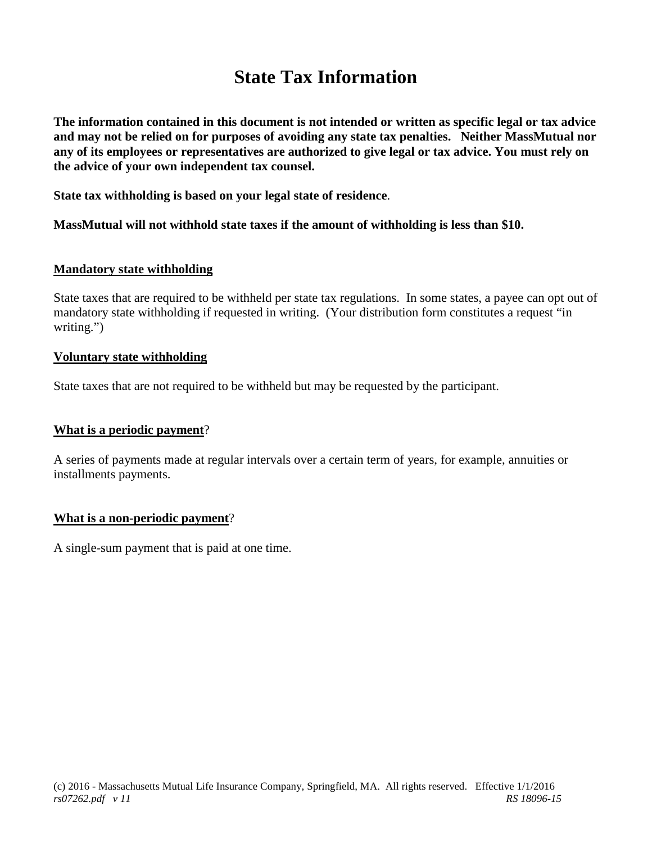# **State Tax Information**

**The information contained in this document is not intended or written as specific legal or tax advice and may not be relied on for purposes of avoiding any state tax penalties. Neither MassMutual nor any of its employees or representatives are authorized to give legal or tax advice. You must rely on the advice of your own independent tax counsel.**

**State tax withholding is based on your legal state of residence**.

**MassMutual will not withhold state taxes if the amount of withholding is less than \$10.**

### **Mandatory state withholding**

State taxes that are required to be withheld per state tax regulations. In some states, a payee can opt out of mandatory state withholding if requested in writing. (Your distribution form constitutes a request "in writing.")

### **Voluntary state withholding**

State taxes that are not required to be withheld but may be requested by the participant.

## **What is a periodic payment**?

A series of payments made at regular intervals over a certain term of years, for example, annuities or installments payments.

#### **What is a non-periodic payment**?

A single-sum payment that is paid at one time.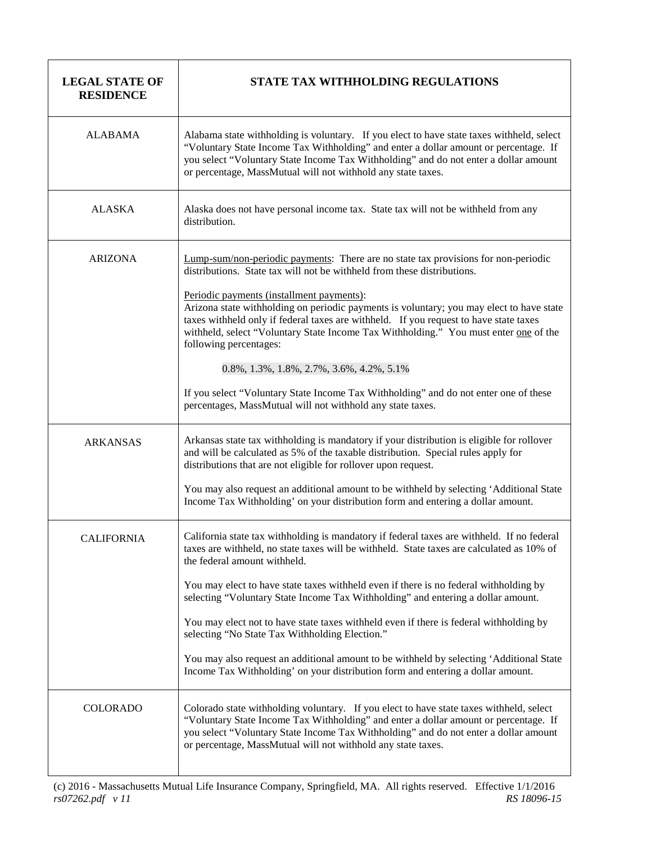| <b>LEGAL STATE OF</b><br><b>RESIDENCE</b> | STATE TAX WITHHOLDING REGULATIONS                                                                                                                                                                                                                                                                                                                                                                                                                                                                                                                                                                                                                                                                                              |
|-------------------------------------------|--------------------------------------------------------------------------------------------------------------------------------------------------------------------------------------------------------------------------------------------------------------------------------------------------------------------------------------------------------------------------------------------------------------------------------------------------------------------------------------------------------------------------------------------------------------------------------------------------------------------------------------------------------------------------------------------------------------------------------|
| <b>ALABAMA</b>                            | Alabama state withholding is voluntary. If you elect to have state taxes withheld, select<br>"Voluntary State Income Tax Withholding" and enter a dollar amount or percentage. If<br>you select "Voluntary State Income Tax Withholding" and do not enter a dollar amount<br>or percentage, MassMutual will not withhold any state taxes.                                                                                                                                                                                                                                                                                                                                                                                      |
| <b>ALASKA</b>                             | Alaska does not have personal income tax. State tax will not be withheld from any<br>distribution.                                                                                                                                                                                                                                                                                                                                                                                                                                                                                                                                                                                                                             |
| <b>ARIZONA</b>                            | Lump-sum/non-periodic payments: There are no state tax provisions for non-periodic<br>distributions. State tax will not be withheld from these distributions.<br>Periodic payments (installment payments):<br>Arizona state withholding on periodic payments is voluntary; you may elect to have state<br>taxes withheld only if federal taxes are withheld. If you request to have state taxes<br>withheld, select "Voluntary State Income Tax Withholding." You must enter one of the<br>following percentages:<br>0.8%, 1.3%, 1.8%, 2.7%, 3.6%, 4.2%, 5.1%<br>If you select "Voluntary State Income Tax Withholding" and do not enter one of these<br>percentages, MassMutual will not withhold any state taxes.            |
| <b>ARKANSAS</b>                           | Arkansas state tax withholding is mandatory if your distribution is eligible for rollover<br>and will be calculated as 5% of the taxable distribution. Special rules apply for<br>distributions that are not eligible for rollover upon request.<br>You may also request an additional amount to be withheld by selecting 'Additional State<br>Income Tax Withholding' on your distribution form and entering a dollar amount.                                                                                                                                                                                                                                                                                                 |
| CALIFORNIA                                | California state tax withholding is mandatory if federal taxes are withheld. If no federal<br>taxes are withheld, no state taxes will be withheld. State taxes are calculated as 10% of<br>the federal amount withheld.<br>You may elect to have state taxes withheld even if there is no federal withholding by<br>selecting "Voluntary State Income Tax Withholding" and entering a dollar amount.<br>You may elect not to have state taxes withheld even if there is federal withholding by<br>selecting "No State Tax Withholding Election."<br>You may also request an additional amount to be withheld by selecting 'Additional State<br>Income Tax Withholding' on your distribution form and entering a dollar amount. |
| <b>COLORADO</b>                           | Colorado state withholding voluntary. If you elect to have state taxes withheld, select<br>"Voluntary State Income Tax Withholding" and enter a dollar amount or percentage. If<br>you select "Voluntary State Income Tax Withholding" and do not enter a dollar amount<br>or percentage, MassMutual will not withhold any state taxes.                                                                                                                                                                                                                                                                                                                                                                                        |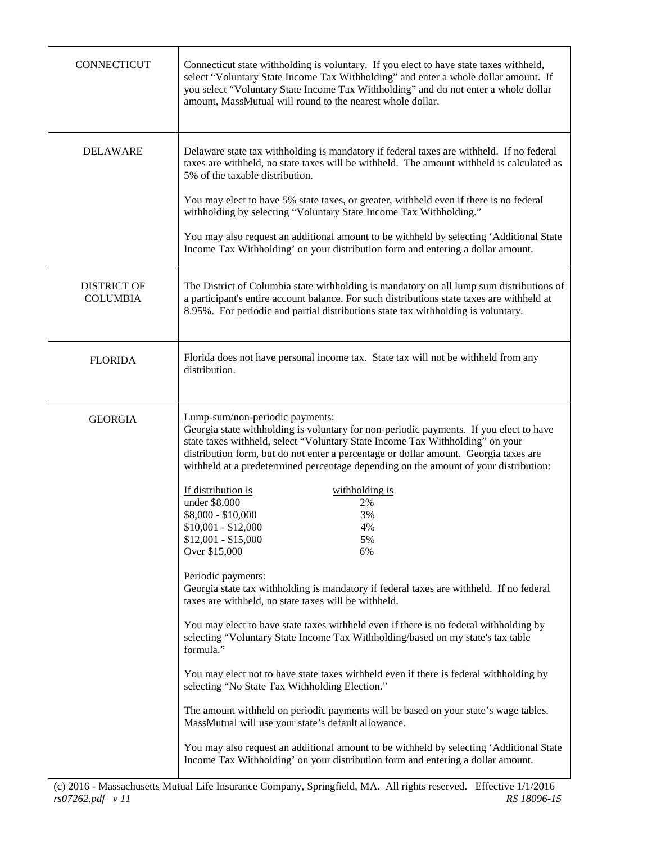| <b>CONNECTICUT</b>                    | Connecticut state withholding is voluntary. If you elect to have state taxes withheld,<br>select "Voluntary State Income Tax Withholding" and enter a whole dollar amount. If<br>you select "Voluntary State Income Tax Withholding" and do not enter a whole dollar<br>amount, MassMutual will round to the nearest whole dollar.                                                                                                                                                                                                                                                                                                                                                                                                                                                                                                                                                                                                                                                                                                                                                                                                                                                                                                                                                                                                                                                                               |
|---------------------------------------|------------------------------------------------------------------------------------------------------------------------------------------------------------------------------------------------------------------------------------------------------------------------------------------------------------------------------------------------------------------------------------------------------------------------------------------------------------------------------------------------------------------------------------------------------------------------------------------------------------------------------------------------------------------------------------------------------------------------------------------------------------------------------------------------------------------------------------------------------------------------------------------------------------------------------------------------------------------------------------------------------------------------------------------------------------------------------------------------------------------------------------------------------------------------------------------------------------------------------------------------------------------------------------------------------------------------------------------------------------------------------------------------------------------|
| <b>DELAWARE</b>                       | Delaware state tax withholding is mandatory if federal taxes are withheld. If no federal<br>taxes are withheld, no state taxes will be withheld. The amount withheld is calculated as<br>5% of the taxable distribution.<br>You may elect to have 5% state taxes, or greater, withheld even if there is no federal<br>withholding by selecting "Voluntary State Income Tax Withholding."<br>You may also request an additional amount to be withheld by selecting 'Additional State<br>Income Tax Withholding' on your distribution form and entering a dollar amount.                                                                                                                                                                                                                                                                                                                                                                                                                                                                                                                                                                                                                                                                                                                                                                                                                                           |
| <b>DISTRICT OF</b><br><b>COLUMBIA</b> | The District of Columbia state withholding is mandatory on all lump sum distributions of<br>a participant's entire account balance. For such distributions state taxes are withheld at<br>8.95%. For periodic and partial distributions state tax withholding is voluntary.                                                                                                                                                                                                                                                                                                                                                                                                                                                                                                                                                                                                                                                                                                                                                                                                                                                                                                                                                                                                                                                                                                                                      |
| <b>FLORIDA</b>                        | Florida does not have personal income tax. State tax will not be withheld from any<br>distribution.                                                                                                                                                                                                                                                                                                                                                                                                                                                                                                                                                                                                                                                                                                                                                                                                                                                                                                                                                                                                                                                                                                                                                                                                                                                                                                              |
| <b>GEORGIA</b>                        | Lump-sum/non-periodic payments:<br>Georgia state withholding is voluntary for non-periodic payments. If you elect to have<br>state taxes withheld, select "Voluntary State Income Tax Withholding" on your<br>distribution form, but do not enter a percentage or dollar amount. Georgia taxes are<br>withheld at a predetermined percentage depending on the amount of your distribution:<br>If distribution is<br>withholding is<br>under \$8,000<br>2%<br>\$8,000 - \$10,000<br>3%<br>$$10,001 - $12,000$<br>4%<br>$$12,001 - $15,000$<br>5%<br>Over \$15,000<br>6%<br>Periodic payments:<br>Georgia state tax withholding is mandatory if federal taxes are withheld. If no federal<br>taxes are withheld, no state taxes will be withheld.<br>You may elect to have state taxes withheld even if there is no federal withholding by<br>selecting "Voluntary State Income Tax Withholding/based on my state's tax table<br>formula."<br>You may elect not to have state taxes withheld even if there is federal withholding by<br>selecting "No State Tax Withholding Election."<br>The amount withheld on periodic payments will be based on your state's wage tables.<br>MassMutual will use your state's default allowance.<br>You may also request an additional amount to be withheld by selecting 'Additional State<br>Income Tax Withholding' on your distribution form and entering a dollar amount. |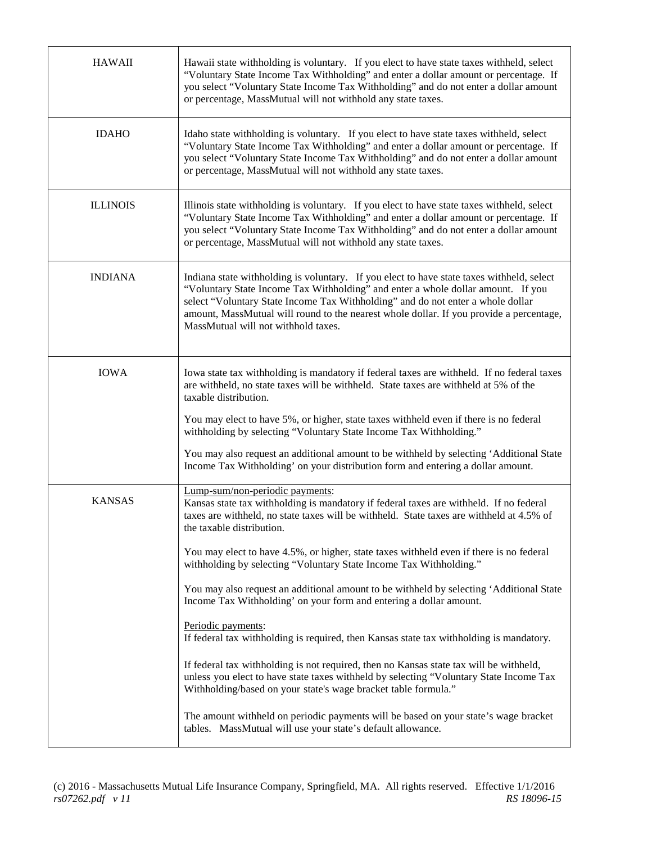| <b>HAWAII</b>   | Hawaii state withholding is voluntary. If you elect to have state taxes withheld, select<br>"Voluntary State Income Tax Withholding" and enter a dollar amount or percentage. If<br>you select "Voluntary State Income Tax Withholding" and do not enter a dollar amount<br>or percentage, MassMutual will not withhold any state taxes.                                                                                                                                                                                                                                                                                                                                                                                                                                                                                                                                                                                                                                                                                                                                                                          |
|-----------------|-------------------------------------------------------------------------------------------------------------------------------------------------------------------------------------------------------------------------------------------------------------------------------------------------------------------------------------------------------------------------------------------------------------------------------------------------------------------------------------------------------------------------------------------------------------------------------------------------------------------------------------------------------------------------------------------------------------------------------------------------------------------------------------------------------------------------------------------------------------------------------------------------------------------------------------------------------------------------------------------------------------------------------------------------------------------------------------------------------------------|
| <b>IDAHO</b>    | Idaho state withholding is voluntary. If you elect to have state taxes withheld, select<br>"Voluntary State Income Tax Withholding" and enter a dollar amount or percentage. If<br>you select "Voluntary State Income Tax Withholding" and do not enter a dollar amount<br>or percentage, MassMutual will not withhold any state taxes.                                                                                                                                                                                                                                                                                                                                                                                                                                                                                                                                                                                                                                                                                                                                                                           |
| <b>ILLINOIS</b> | Illinois state withholding is voluntary. If you elect to have state taxes withheld, select<br>"Voluntary State Income Tax Withholding" and enter a dollar amount or percentage. If<br>you select "Voluntary State Income Tax Withholding" and do not enter a dollar amount<br>or percentage, MassMutual will not withhold any state taxes.                                                                                                                                                                                                                                                                                                                                                                                                                                                                                                                                                                                                                                                                                                                                                                        |
| <b>INDIANA</b>  | Indiana state withholding is voluntary. If you elect to have state taxes withheld, select<br>"Voluntary State Income Tax Withholding" and enter a whole dollar amount. If you<br>select "Voluntary State Income Tax Withholding" and do not enter a whole dollar<br>amount, MassMutual will round to the nearest whole dollar. If you provide a percentage,<br>MassMutual will not withhold taxes.                                                                                                                                                                                                                                                                                                                                                                                                                                                                                                                                                                                                                                                                                                                |
| <b>IOWA</b>     | Iowa state tax withholding is mandatory if federal taxes are withheld. If no federal taxes<br>are withheld, no state taxes will be withheld. State taxes are withheld at 5% of the<br>taxable distribution.<br>You may elect to have 5%, or higher, state taxes withheld even if there is no federal<br>withholding by selecting "Voluntary State Income Tax Withholding."<br>You may also request an additional amount to be withheld by selecting 'Additional State<br>Income Tax Withholding' on your distribution form and entering a dollar amount.                                                                                                                                                                                                                                                                                                                                                                                                                                                                                                                                                          |
| <b>KANSAS</b>   | Lump-sum/non-periodic payments:<br>Kansas state tax withholding is mandatory if federal taxes are withheld. If no federal<br>taxes are withheld, no state taxes will be withheld. State taxes are withheld at 4.5% of<br>the taxable distribution.<br>You may elect to have 4.5%, or higher, state taxes withheld even if there is no federal<br>withholding by selecting "Voluntary State Income Tax Withholding."<br>You may also request an additional amount to be withheld by selecting 'Additional State<br>Income Tax Withholding' on your form and entering a dollar amount.<br>Periodic payments:<br>If federal tax withholding is required, then Kansas state tax withholding is mandatory.<br>If federal tax withholding is not required, then no Kansas state tax will be withheld,<br>unless you elect to have state taxes withheld by selecting "Voluntary State Income Tax<br>Withholding/based on your state's wage bracket table formula."<br>The amount withheld on periodic payments will be based on your state's wage bracket<br>tables. MassMutual will use your state's default allowance. |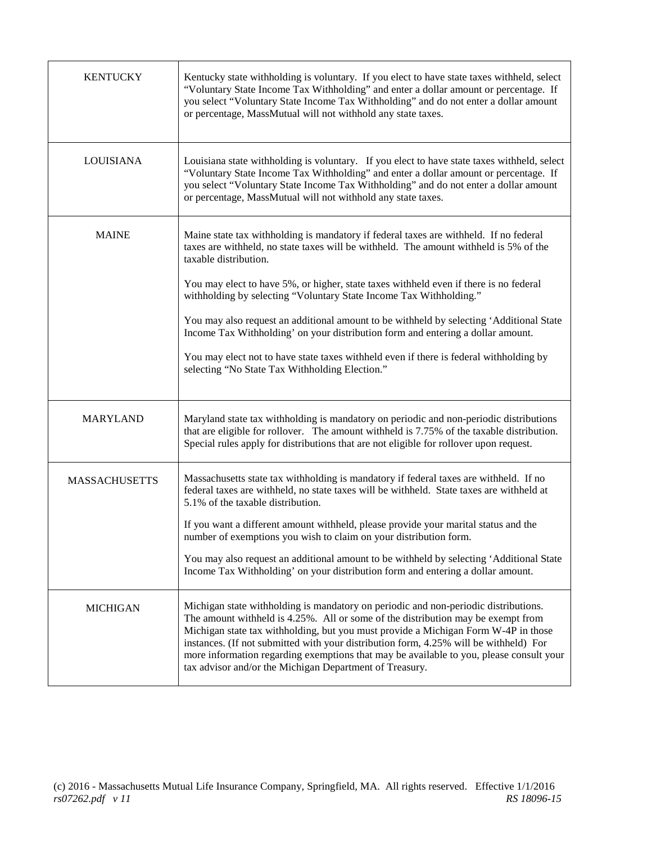| <b>KENTUCKY</b>      | Kentucky state withholding is voluntary. If you elect to have state taxes withheld, select<br>"Voluntary State Income Tax Withholding" and enter a dollar amount or percentage. If<br>you select "Voluntary State Income Tax Withholding" and do not enter a dollar amount<br>or percentage, MassMutual will not withhold any state taxes.                                                                                                                                                                                                                                                                                                                                                       |
|----------------------|--------------------------------------------------------------------------------------------------------------------------------------------------------------------------------------------------------------------------------------------------------------------------------------------------------------------------------------------------------------------------------------------------------------------------------------------------------------------------------------------------------------------------------------------------------------------------------------------------------------------------------------------------------------------------------------------------|
| LOUISIANA            | Louisiana state withholding is voluntary. If you elect to have state taxes withheld, select<br>"Voluntary State Income Tax Withholding" and enter a dollar amount or percentage. If<br>you select "Voluntary State Income Tax Withholding" and do not enter a dollar amount<br>or percentage, MassMutual will not withhold any state taxes.                                                                                                                                                                                                                                                                                                                                                      |
| <b>MAINE</b>         | Maine state tax withholding is mandatory if federal taxes are withheld. If no federal<br>taxes are withheld, no state taxes will be withheld. The amount withheld is 5% of the<br>taxable distribution.<br>You may elect to have 5%, or higher, state taxes withheld even if there is no federal<br>withholding by selecting "Voluntary State Income Tax Withholding."<br>You may also request an additional amount to be withheld by selecting 'Additional State<br>Income Tax Withholding' on your distribution form and entering a dollar amount.<br>You may elect not to have state taxes withheld even if there is federal withholding by<br>selecting "No State Tax Withholding Election." |
| <b>MARYLAND</b>      | Maryland state tax withholding is mandatory on periodic and non-periodic distributions<br>that are eligible for rollover. The amount withheld is 7.75% of the taxable distribution.<br>Special rules apply for distributions that are not eligible for rollover upon request.                                                                                                                                                                                                                                                                                                                                                                                                                    |
| <b>MASSACHUSETTS</b> | Massachusetts state tax withholding is mandatory if federal taxes are withheld. If no<br>federal taxes are withheld, no state taxes will be withheld. State taxes are withheld at<br>5.1% of the taxable distribution.<br>If you want a different amount withheld, please provide your marital status and the<br>number of exemptions you wish to claim on your distribution form.<br>You may also request an additional amount to be withheld by selecting 'Additional State<br>Income Tax Withholding' on your distribution form and entering a dollar amount.                                                                                                                                 |
| <b>MICHIGAN</b>      | Michigan state withholding is mandatory on periodic and non-periodic distributions.<br>The amount withheld is 4.25%. All or some of the distribution may be exempt from<br>Michigan state tax withholding, but you must provide a Michigan Form W-4P in those<br>instances. (If not submitted with your distribution form, 4.25% will be withheld) For<br>more information regarding exemptions that may be available to you, please consult your<br>tax advisor and/or the Michigan Department of Treasury.                                                                                                                                                                                     |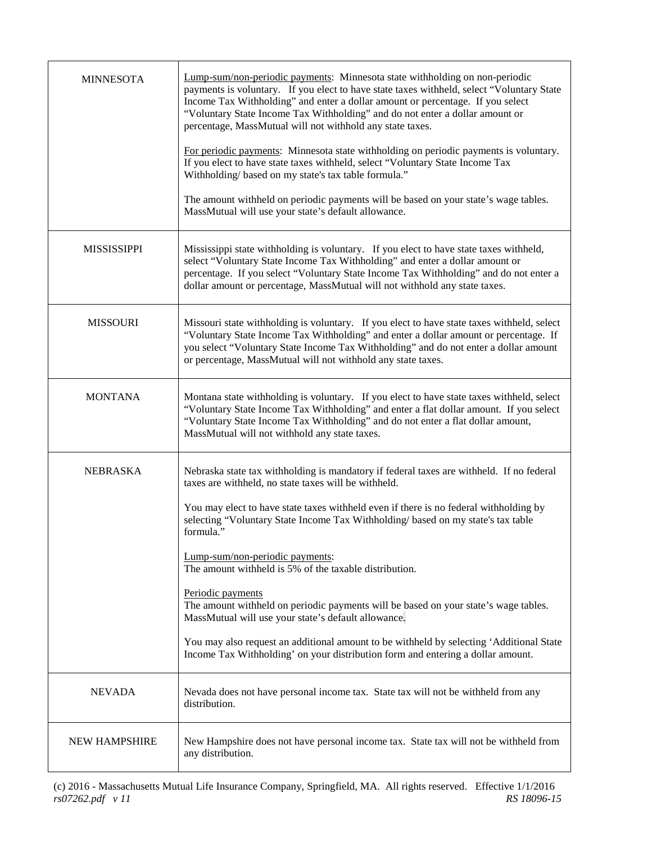| <b>MINNESOTA</b>     | Lump-sum/non-periodic payments: Minnesota state withholding on non-periodic<br>payments is voluntary. If you elect to have state taxes withheld, select "Voluntary State<br>Income Tax Withholding" and enter a dollar amount or percentage. If you select<br>"Voluntary State Income Tax Withholding" and do not enter a dollar amount or<br>percentage, MassMutual will not withhold any state taxes.<br>For periodic payments: Minnesota state withholding on periodic payments is voluntary.<br>If you elect to have state taxes withheld, select "Voluntary State Income Tax<br>Withholding/based on my state's tax table formula."<br>The amount withheld on periodic payments will be based on your state's wage tables.<br>MassMutual will use your state's default allowance.   |
|----------------------|------------------------------------------------------------------------------------------------------------------------------------------------------------------------------------------------------------------------------------------------------------------------------------------------------------------------------------------------------------------------------------------------------------------------------------------------------------------------------------------------------------------------------------------------------------------------------------------------------------------------------------------------------------------------------------------------------------------------------------------------------------------------------------------|
| <b>MISSISSIPPI</b>   | Mississippi state withholding is voluntary. If you elect to have state taxes withheld,<br>select "Voluntary State Income Tax Withholding" and enter a dollar amount or<br>percentage. If you select "Voluntary State Income Tax Withholding" and do not enter a<br>dollar amount or percentage, MassMutual will not withhold any state taxes.                                                                                                                                                                                                                                                                                                                                                                                                                                            |
| <b>MISSOURI</b>      | Missouri state withholding is voluntary. If you elect to have state taxes withheld, select<br>"Voluntary State Income Tax Withholding" and enter a dollar amount or percentage. If<br>you select "Voluntary State Income Tax Withholding" and do not enter a dollar amount<br>or percentage, MassMutual will not withhold any state taxes.                                                                                                                                                                                                                                                                                                                                                                                                                                               |
| <b>MONTANA</b>       | Montana state withholding is voluntary. If you elect to have state taxes withheld, select<br>"Voluntary State Income Tax Withholding" and enter a flat dollar amount. If you select<br>"Voluntary State Income Tax Withholding" and do not enter a flat dollar amount,<br>MassMutual will not withhold any state taxes.                                                                                                                                                                                                                                                                                                                                                                                                                                                                  |
| <b>NEBRASKA</b>      | Nebraska state tax withholding is mandatory if federal taxes are withheld. If no federal<br>taxes are withheld, no state taxes will be withheld.<br>You may elect to have state taxes withheld even if there is no federal withholding by<br>selecting "Voluntary State Income Tax Withholding/ based on my state's tax table<br>formula."<br>Lump-sum/non-periodic payments:<br>The amount withheld is 5% of the taxable distribution.<br>Periodic payments<br>The amount withheld on periodic payments will be based on your state's wage tables.<br>MassMutual will use your state's default allowance.<br>You may also request an additional amount to be withheld by selecting 'Additional State<br>Income Tax Withholding' on your distribution form and entering a dollar amount. |
| <b>NEVADA</b>        | Nevada does not have personal income tax. State tax will not be withheld from any<br>distribution.                                                                                                                                                                                                                                                                                                                                                                                                                                                                                                                                                                                                                                                                                       |
| <b>NEW HAMPSHIRE</b> | New Hampshire does not have personal income tax. State tax will not be withheld from<br>any distribution.                                                                                                                                                                                                                                                                                                                                                                                                                                                                                                                                                                                                                                                                                |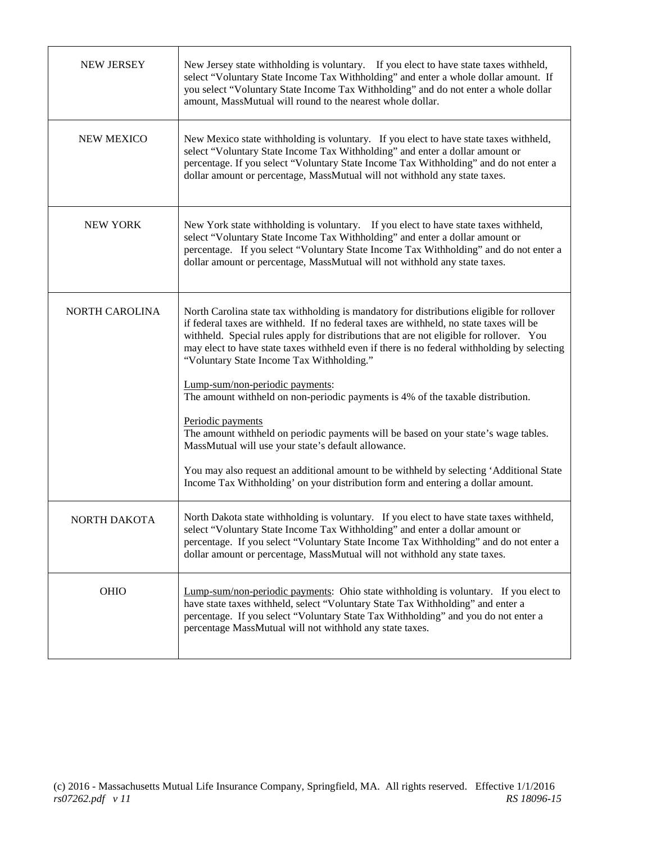| <b>NEW JERSEY</b> | New Jersey state withholding is voluntary. If you elect to have state taxes withheld,<br>select "Voluntary State Income Tax Withholding" and enter a whole dollar amount. If<br>you select "Voluntary State Income Tax Withholding" and do not enter a whole dollar<br>amount, MassMutual will round to the nearest whole dollar.                                                                                                                              |
|-------------------|----------------------------------------------------------------------------------------------------------------------------------------------------------------------------------------------------------------------------------------------------------------------------------------------------------------------------------------------------------------------------------------------------------------------------------------------------------------|
| <b>NEW MEXICO</b> | New Mexico state withholding is voluntary. If you elect to have state taxes withheld,<br>select "Voluntary State Income Tax Withholding" and enter a dollar amount or<br>percentage. If you select "Voluntary State Income Tax Withholding" and do not enter a<br>dollar amount or percentage, MassMutual will not withhold any state taxes.                                                                                                                   |
| <b>NEW YORK</b>   | New York state withholding is voluntary. If you elect to have state taxes withheld,<br>select "Voluntary State Income Tax Withholding" and enter a dollar amount or<br>percentage. If you select "Voluntary State Income Tax Withholding" and do not enter a<br>dollar amount or percentage, MassMutual will not withhold any state taxes.                                                                                                                     |
| NORTH CAROLINA    | North Carolina state tax withholding is mandatory for distributions eligible for rollover<br>if federal taxes are withheld. If no federal taxes are withheld, no state taxes will be<br>withheld. Special rules apply for distributions that are not eligible for rollover. You<br>may elect to have state taxes withheld even if there is no federal withholding by selecting<br>"Voluntary State Income Tax Withholding."<br>Lump-sum/non-periodic payments: |
|                   | The amount withheld on non-periodic payments is 4% of the taxable distribution.                                                                                                                                                                                                                                                                                                                                                                                |
|                   | Periodic payments<br>The amount withheld on periodic payments will be based on your state's wage tables.<br>MassMutual will use your state's default allowance.                                                                                                                                                                                                                                                                                                |
|                   | You may also request an additional amount to be withheld by selecting 'Additional State<br>Income Tax Withholding' on your distribution form and entering a dollar amount.                                                                                                                                                                                                                                                                                     |
| NORTH DAKOTA      | North Dakota state withholding is voluntary. If you elect to have state taxes withheld,<br>select "Voluntary State Income Tax Withholding" and enter a dollar amount or<br>percentage. If you select "Voluntary State Income Tax Withholding" and do not enter a<br>dollar amount or percentage, MassMutual will not withhold any state taxes.                                                                                                                 |
| <b>OHIO</b>       | Lump-sum/non-periodic payments: Ohio state withholding is voluntary. If you elect to<br>have state taxes withheld, select "Voluntary State Tax Withholding" and enter a<br>percentage. If you select "Voluntary State Tax Withholding" and you do not enter a<br>percentage MassMutual will not withhold any state taxes.                                                                                                                                      |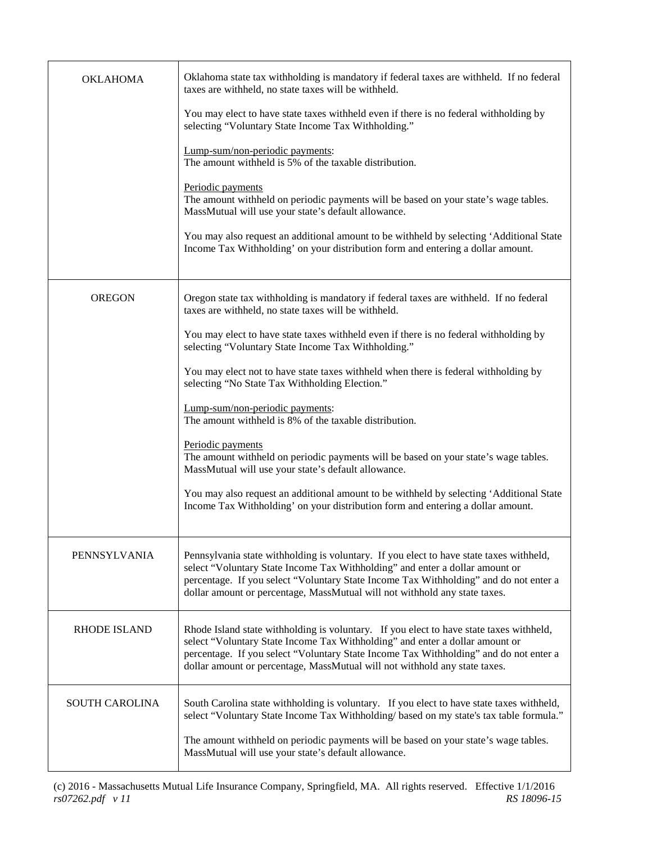| <b>OKLAHOMA</b>     | Oklahoma state tax withholding is mandatory if federal taxes are withheld. If no federal<br>taxes are withheld, no state taxes will be withheld.                                                                                                                                                                                               |
|---------------------|------------------------------------------------------------------------------------------------------------------------------------------------------------------------------------------------------------------------------------------------------------------------------------------------------------------------------------------------|
|                     | You may elect to have state taxes withheld even if there is no federal withholding by<br>selecting "Voluntary State Income Tax Withholding."                                                                                                                                                                                                   |
|                     | Lump-sum/non-periodic payments:<br>The amount withheld is 5% of the taxable distribution.                                                                                                                                                                                                                                                      |
|                     | Periodic payments<br>The amount withheld on periodic payments will be based on your state's wage tables.<br>MassMutual will use your state's default allowance.                                                                                                                                                                                |
|                     | You may also request an additional amount to be withheld by selecting 'Additional State<br>Income Tax Withholding' on your distribution form and entering a dollar amount.                                                                                                                                                                     |
| <b>OREGON</b>       | Oregon state tax withholding is mandatory if federal taxes are withheld. If no federal<br>taxes are withheld, no state taxes will be withheld.                                                                                                                                                                                                 |
|                     | You may elect to have state taxes withheld even if there is no federal withholding by<br>selecting "Voluntary State Income Tax Withholding."                                                                                                                                                                                                   |
|                     | You may elect not to have state taxes withheld when there is federal withholding by<br>selecting "No State Tax Withholding Election."                                                                                                                                                                                                          |
|                     | Lump-sum/non-periodic payments:<br>The amount withheld is 8% of the taxable distribution.                                                                                                                                                                                                                                                      |
|                     | Periodic payments<br>The amount withheld on periodic payments will be based on your state's wage tables.<br>MassMutual will use your state's default allowance.                                                                                                                                                                                |
|                     | You may also request an additional amount to be withheld by selecting 'Additional State<br>Income Tax Withholding' on your distribution form and entering a dollar amount.                                                                                                                                                                     |
| PENNSYLVANIA        | Pennsylvania state withholding is voluntary. If you elect to have state taxes withheld,<br>select "Voluntary State Income Tax Withholding" and enter a dollar amount or<br>percentage. If you select "Voluntary State Income Tax Withholding" and do not enter a<br>dollar amount or percentage, MassMutual will not withhold any state taxes. |
| <b>RHODE ISLAND</b> | Rhode Island state withholding is voluntary. If you elect to have state taxes withheld,<br>select "Voluntary State Income Tax Withholding" and enter a dollar amount or<br>percentage. If you select "Voluntary State Income Tax Withholding" and do not enter a<br>dollar amount or percentage, MassMutual will not withhold any state taxes. |
| SOUTH CAROLINA      | South Carolina state withholding is voluntary. If you elect to have state taxes withheld,<br>select "Voluntary State Income Tax Withholding/ based on my state's tax table formula."                                                                                                                                                           |
|                     | The amount withheld on periodic payments will be based on your state's wage tables.<br>MassMutual will use your state's default allowance.                                                                                                                                                                                                     |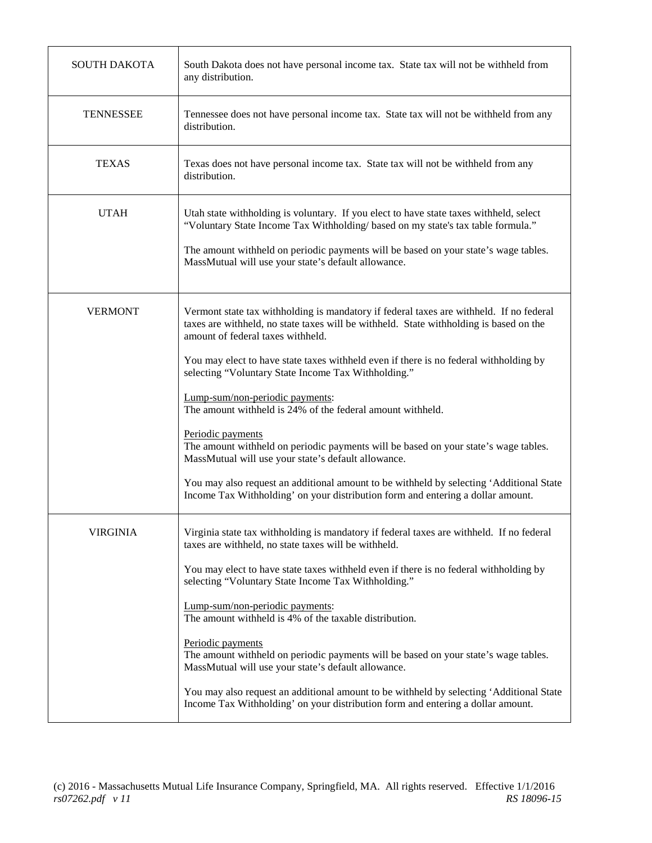| <b>SOUTH DAKOTA</b> | South Dakota does not have personal income tax. State tax will not be withheld from<br>any distribution.                                                                                                                                                                                                                                                                                                                                                                                                                                                                                                                                                                                                                                                                                                                 |
|---------------------|--------------------------------------------------------------------------------------------------------------------------------------------------------------------------------------------------------------------------------------------------------------------------------------------------------------------------------------------------------------------------------------------------------------------------------------------------------------------------------------------------------------------------------------------------------------------------------------------------------------------------------------------------------------------------------------------------------------------------------------------------------------------------------------------------------------------------|
| <b>TENNESSEE</b>    | Tennessee does not have personal income tax. State tax will not be withheld from any<br>distribution.                                                                                                                                                                                                                                                                                                                                                                                                                                                                                                                                                                                                                                                                                                                    |
| <b>TEXAS</b>        | Texas does not have personal income tax. State tax will not be withheld from any<br>distribution.                                                                                                                                                                                                                                                                                                                                                                                                                                                                                                                                                                                                                                                                                                                        |
| <b>UTAH</b>         | Utah state withholding is voluntary. If you elect to have state taxes withheld, select<br>"Voluntary State Income Tax Withholding/ based on my state's tax table formula."<br>The amount withheld on periodic payments will be based on your state's wage tables.<br>MassMutual will use your state's default allowance.                                                                                                                                                                                                                                                                                                                                                                                                                                                                                                 |
| <b>VERMONT</b>      | Vermont state tax withholding is mandatory if federal taxes are withheld. If no federal<br>taxes are withheld, no state taxes will be withheld. State withholding is based on the<br>amount of federal taxes withheld.<br>You may elect to have state taxes withheld even if there is no federal withholding by<br>selecting "Voluntary State Income Tax Withholding."<br>Lump-sum/non-periodic payments:<br>The amount withheld is 24% of the federal amount withheld.<br>Periodic payments<br>The amount withheld on periodic payments will be based on your state's wage tables.<br>MassMutual will use your state's default allowance.<br>You may also request an additional amount to be withheld by selecting 'Additional State<br>Income Tax Withholding' on your distribution form and entering a dollar amount. |
| <b>VIRGINIA</b>     | Virginia state tax withholding is mandatory if federal taxes are withheld. If no federal<br>taxes are withheld, no state taxes will be withheld.<br>You may elect to have state taxes withheld even if there is no federal withholding by<br>selecting "Voluntary State Income Tax Withholding."<br>Lump-sum/non-periodic payments:<br>The amount withheld is 4% of the taxable distribution.<br>Periodic payments<br>The amount withheld on periodic payments will be based on your state's wage tables.<br>MassMutual will use your state's default allowance.<br>You may also request an additional amount to be withheld by selecting 'Additional State<br>Income Tax Withholding' on your distribution form and entering a dollar amount.                                                                           |